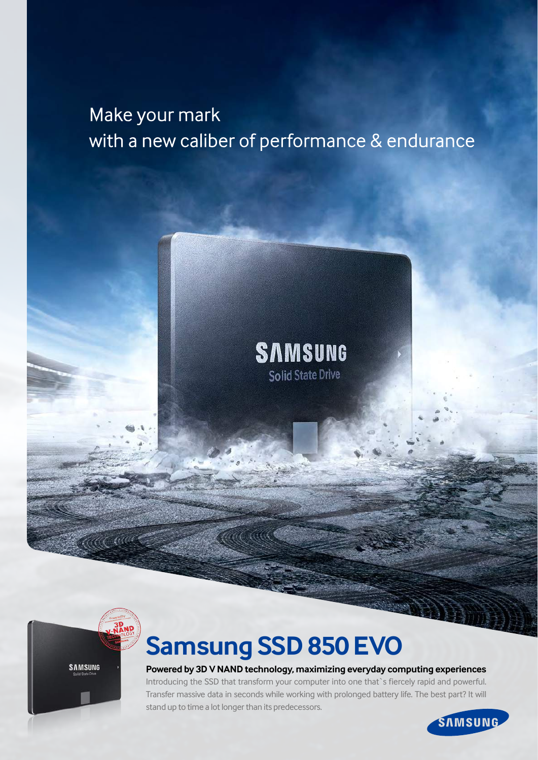## Make your mark with a new caliber of performance & endurance

## **SAMSUNG Solid State Drive**



ACC CO

# **Samsung SSD 850 EVO**

**Powered by 3D V NAND technology, maximizing everyday computing experiences** Introducing the SSD that transform your computer into one that`s fiercely rapid and powerful.

Transfer massive data in seconds while working with prolonged battery life. The best part? It will stand up to time a lot longer than its predecessors.

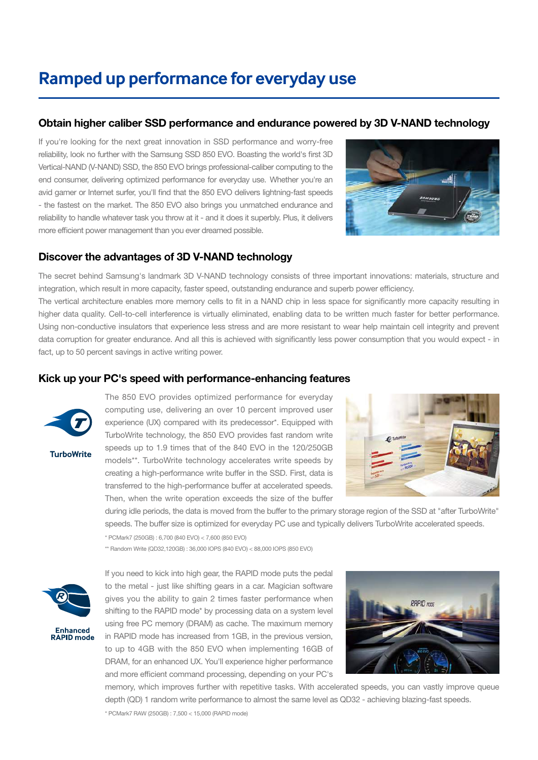## **Ramped up performance for everyday use**

### Obtain higher caliber SSD performance and endurance powered by 3D V-NAND technology

If you're looking for the next great innovation in SSD performance and worry-free reliability, look no further with the Samsung SSD 850 EVO. Boasting the world's first 3D Vertical-NAND (V-NAND) SSD, the 850 EVO brings professional-caliber computing to the end consumer, delivering optimized performance for everyday use. Whether you're an avid gamer or Internet surfer, you'll find that the 850 EVO delivers lightning-fast speeds - the fastest on the market. The 850 EVO also brings you unmatched endurance and reliability to handle whatever task you throw at it - and it does it superbly. Plus, it delivers more efficient power management than you ever dreamed possible.



## Discover the advantages of 3D V-NAND technology

The secret behind Samsung's landmark 3D V-NAND technology consists of three important innovations: materials, structure and integration, which result in more capacity, faster speed, outstanding endurance and superb power efficiency.

The vertical architecture enables more memory cells to fit in a NAND chip in less space for significantly more capacity resulting in higher data quality. Cell-to-cell interference is virtually eliminated, enabling data to be written much faster for better performance. Using non-conductive insulators that experience less stress and are more resistant to wear help maintain cell integrity and prevent data corruption for greater endurance. And all this is achieved with significantly less power consumption that you would expect - in fact, up to 50 percent savings in active writing power.

### Kick up your PC's speed with performance-enhancing features



**TurboWrite** 

The 850 EVO provides optimized performance for everyday computing use, delivering an over 10 percent improved user experience (UX) compared with its predecessor\*. Equipped with TurboWrite technology, the 850 EVO provides fast random write speeds up to 1.9 times that of the 840 EVO in the 120/250GB models\*\*. TurboWrite technology accelerates write speeds by creating a high-performance write buffer in the SSD. First, data is transferred to the high-performance buffer at accelerated speeds. Then, when the write operation exceeds the size of the buffer



during idle periods, the data is moved from the buffer to the primary storage region of the SSD at "after TurboWrite" speeds. The buffer size is optimized for everyday PC use and typically delivers TurboWrite accelerated speeds.

\* PCMark7 (250GB) : 6,700 (840 EVO) < 7,600 (850 EVO)

\*\* Random Write (QD32,120GB) : 36,000 IOPS (840 EVO) < 88,000 IOPS (850 EVO)



If you need to kick into high gear, the RAPID mode puts the pedal to the metal - just like shifting gears in a car. Magician software gives you the ability to gain 2 times faster performance when shifting to the RAPID mode\* by processing data on a system level using free PC memory (DRAM) as cache. The maximum memory in RAPID mode has increased from 1GB, in the previous version, to up to 4GB with the 850 EVO when implementing 16GB of DRAM, for an enhanced UX. You'll experience higher performance and more efficient command processing, depending on your PC's



memory, which improves further with repetitive tasks. With accelerated speeds, you can vastly improve queue depth (QD) 1 random write performance to almost the same level as QD32 - achieving blazing-fast speeds.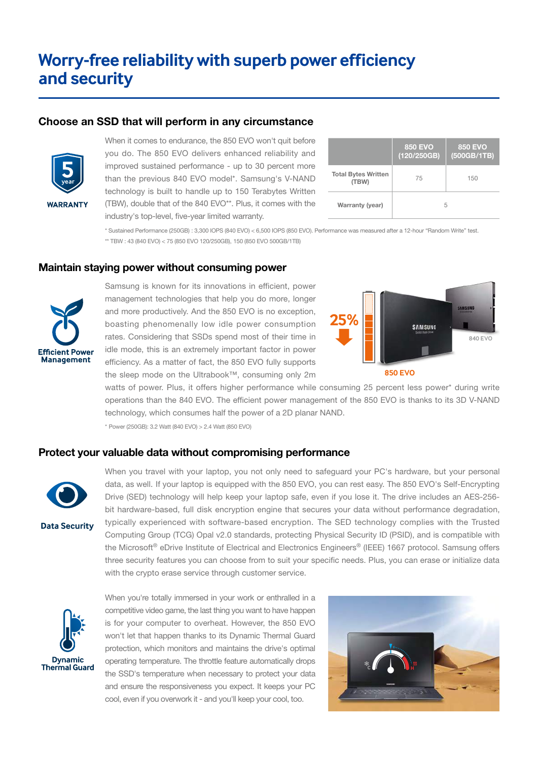## **Worry-free reliability with superb power efficiency and security**

#### Choose an SSD that will perform in any circumstance



**WARRANTY** 

When it comes to endurance, the 850 EVO won't quit before you do. The 850 EVO delivers enhanced reliability and improved sustained performance - up to 30 percent more than the previous 840 EVO model\*. Samsung's V-NAND technology is built to handle up to 150 Terabytes Written (TBW), double that of the 840 EVO\*\*. Plus, it comes with the industry's top-level, five-year limited warranty.

|                                     | <b>850 EVO</b><br>(120/250GB) | <b>850 EVO</b><br>(500GB/1TB) |
|-------------------------------------|-------------------------------|-------------------------------|
| <b>Total Bytes Written</b><br>(TBW) | 75                            | 150                           |
| Warranty (year)                     | 5                             |                               |

\* Sustained Performance (250GB) : 3,300 IOPS (840 EVO) < 6,500 IOPS (850 EVO). Performance was measured after a 12-hour "Random Write" test. \*\* TBW : 43 (840 EVO) < 75 (850 EVO 120/250GB), 150 (850 EVO 500GB/1TB)

#### Maintain staying power without consuming power



Samsung is known for its innovations in efficient, power management technologies that help you do more, longer and more productively. And the 850 EVO is no exception, boasting phenomenally low idle power consumption rates. Considering that SSDs spend most of their time in idle mode, this is an extremely important factor in power efficiency. As a matter of fact, the 850 EVO fully supports the sleep mode on the Ultrabook™, consuming only 2m



**850 EVO**

watts of power. Plus, it offers higher performance while consuming 25 percent less power\* during write operations than the 840 EVO. The efficient power management of the 850 EVO is thanks to its 3D V-NAND technology, which consumes half the power of a 2D planar NAND.

\* Power (250GB): 3.2 Watt (840 EVO) > 2.4 Watt (850 EVO)

#### Protect your valuable data without compromising performance



**Data Security** 

When you travel with your laptop, you not only need to safeguard your PC's hardware, but your personal data, as well. If your laptop is equipped with the 850 EVO, you can rest easy. The 850 EVO's Self-Encrypting Drive (SED) technology will help keep your laptop safe, even if you lose it. The drive includes an AES-256 bit hardware-based, full disk encryption engine that secures your data without performance degradation, typically experienced with software-based encryption. The SED technology complies with the Trusted Computing Group (TCG) Opal v2.0 standards, protecting Physical Security ID (PSID), and is compatible with the Microsoft® eDrive Institute of Electrical and Electronics Engineers® (IEEE) 1667 protocol. Samsung offers three security features you can choose from to suit your specific needs. Plus, you can erase or initialize data with the crypto erase service through customer service.



When you're totally immersed in your work or enthralled in a competitive video game, the last thing you want to have happen is for your computer to overheat. However, the 850 EVO won't let that happen thanks to its Dynamic Thermal Guard protection, which monitors and maintains the drive's optimal operating temperature. The throttle feature automatically drops the SSD's temperature when necessary to protect your data and ensure the responsiveness you expect. It keeps your PC cool, even if you overwork it - and you'll keep your cool, too.

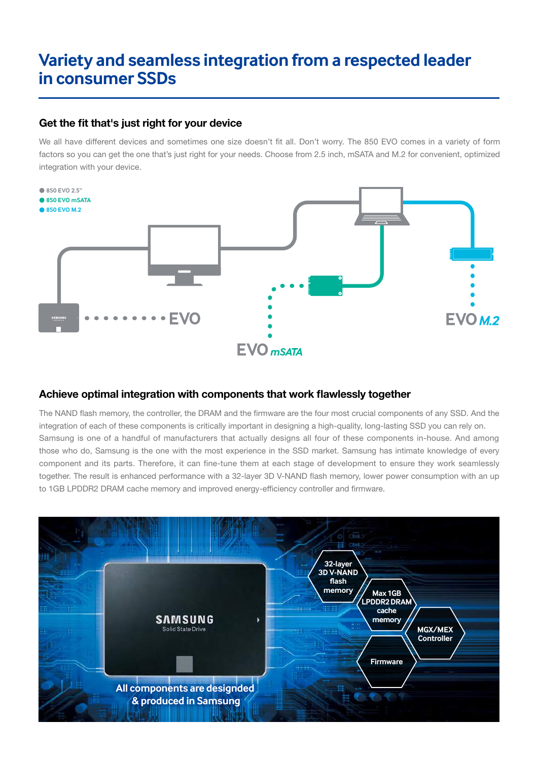## **Variety and seamless integration from a respected leader in consumer SSDs**

## Get the fit that's just right for your device

We all have different devices and sometimes one size doesn't fit all. Don't worry. The 850 EVO comes in a variety of form factors so you can get the one that's just right for your needs. Choose from 2.5 inch, mSATA and M.2 for convenient, optimized integration with your device.



## Achieve optimal integration with components that work flawlessly together

The NAND flash memory, the controller, the DRAM and the firmware are the four most crucial components of any SSD. And the integration of each of these components is critically important in designing a high-quality, long-lasting SSD you can rely on. Samsung is one of a handful of manufacturers that actually designs all four of these components in-house. And among those who do, Samsung is the one with the most experience in the SSD market. Samsung has intimate knowledge of every component and its parts. Therefore, it can fine-tune them at each stage of development to ensure they work seamlessly together. The result is enhanced performance with a 32-layer 3D V-NAND flash memory, lower power consumption with an up to 1GB LPDDR2 DRAM cache memory and improved energy-efficiency controller and firmware.

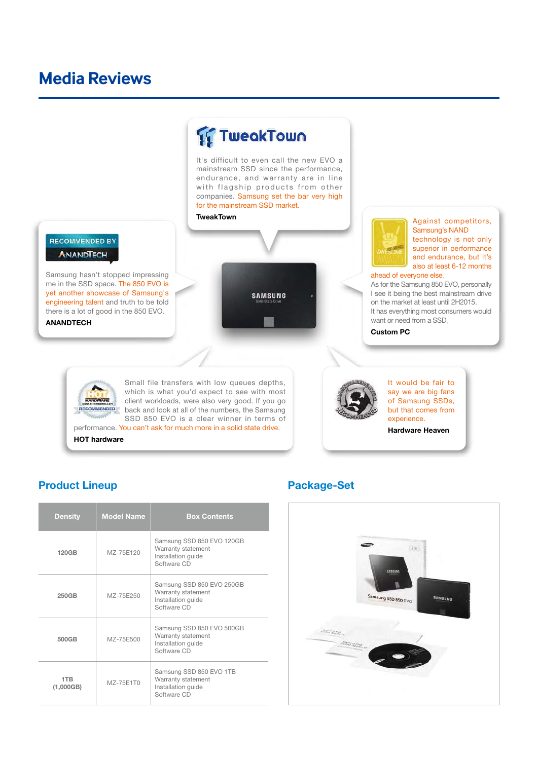## **Media Reviews**



#### HOT hardware



#### Product Lineup **Package-Set**

| <b>Density</b>   | <b>Model Name</b> | <b>Box Contents</b>                                                                  |
|------------------|-------------------|--------------------------------------------------------------------------------------|
| <b>120GB</b>     | MZ-75F120         | Samsung SSD 850 EVO 120GB<br>Warranty statement<br>Installation guide<br>Software CD |
| 250GB            | MZ-75E250         | Samsung SSD 850 EVO 250GB<br>Warranty statement<br>Installation quide<br>Software CD |
| 500GB            | MZ-75E500         | Samsung SSD 850 EVO 500GB<br>Warranty statement<br>Installation quide<br>Software CD |
| 1TB<br>(1,000GB) | MZ-75E1T0         | Samsung SSD 850 EVO 1TB<br>Warranty statement<br>Installation guide<br>Software CD   |